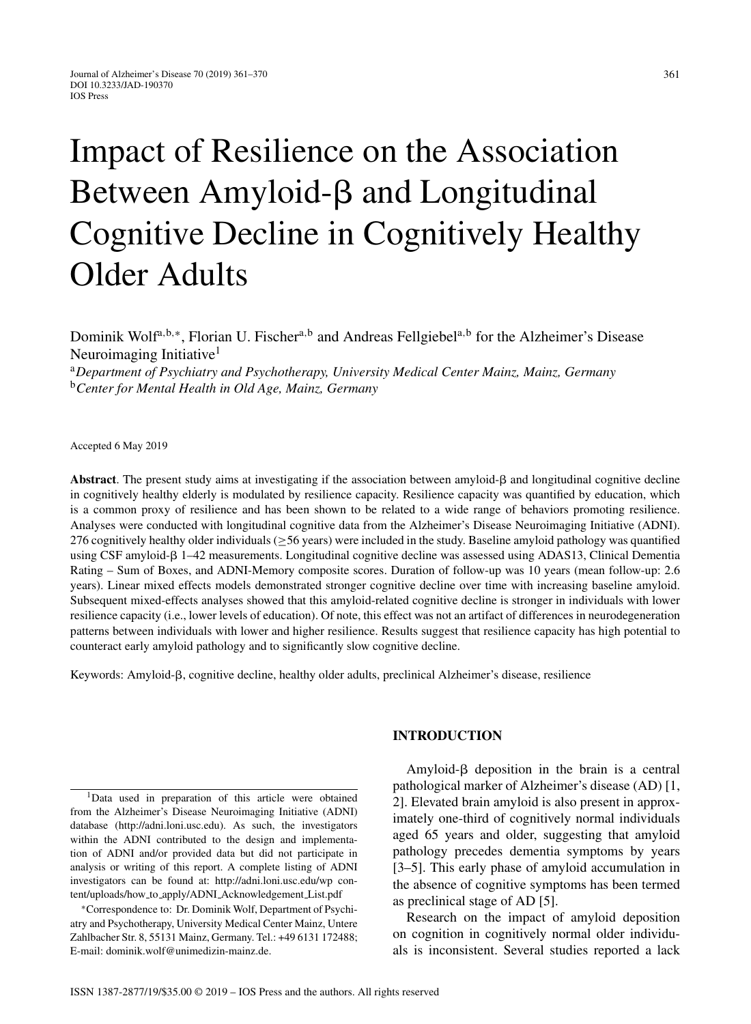# Impact of Resilience on the Association Between Amyloid- $\beta$  and Longitudinal Cognitive Decline in Cognitively Healthy Older Adults

Dominik Wolf<sup>a,b,∗</sup>, Florian U. Fischer<sup>a,b</sup> and Andreas Fellgiebel<sup>a,b</sup> for the Alzheimer's Disease Neuroimaging Initiative $<sup>1</sup>$ </sup>

<sup>a</sup>*Department of Psychiatry and Psychotherapy, University Medical Center Mainz, Mainz, Germany* <sup>b</sup>*Center for Mental Health in Old Age, Mainz, Germany*

Accepted 6 May 2019

Abstract. The present study aims at investigating if the association between amyloid- $\beta$  and longitudinal cognitive decline in cognitively healthy elderly is modulated by resilience capacity. Resilience capacity was quantified by education, which is a common proxy of resilience and has been shown to be related to a wide range of behaviors promoting resilience. Analyses were conducted with longitudinal cognitive data from the Alzheimer's Disease Neuroimaging Initiative (ADNI). 276 cognitively healthy older individuals (≥56 years) were included in the study. Baseline amyloid pathology was quantified using CSF amyloid- $\beta$  1–42 measurements. Longitudinal cognitive decline was assessed using ADAS13, Clinical Dementia Rating – Sum of Boxes, and ADNI-Memory composite scores. Duration of follow-up was 10 years (mean follow-up: 2.6 years). Linear mixed effects models demonstrated stronger cognitive decline over time with increasing baseline amyloid. Subsequent mixed-effects analyses showed that this amyloid-related cognitive decline is stronger in individuals with lower resilience capacity (i.e., lower levels of education). Of note, this effect was not an artifact of differences in neurodegeneration patterns between individuals with lower and higher resilience. Results suggest that resilience capacity has high potential to counteract early amyloid pathology and to significantly slow cognitive decline.

Keywords: Amyloid- $\beta$ , cognitive decline, healthy older adults, preclinical Alzheimer's disease, resilience

<sup>1</sup>Data used in preparation of this article were obtained from the Alzheimer's Disease Neuroimaging Initiative (ADNI) database (http://adni.loni.usc.edu). As such, the investigators within the ADNI contributed to the design and implementation of ADNI and/or provided data but did not participate in analysis or writing of this report. A complete listing of ADNI investigators can be found at: http://adni.loni.usc.edu/wp content/uploads/how to apply/ADNI Acknowledgement List.pdf

∗Correspondence to: Dr. Dominik Wolf, Department of Psychiatry and Psychotherapy, University Medical Center Mainz, Untere Zahlbacher Str. 8, 55131 Mainz, Germany. Tel.: +49 6131 172488; E-mail: [dominik.wolf@unimedizin-mainz.de.](mailto:dominik.wolf@unimedizin-mainz.de)

# **INTRODUCTION**

Amyloid- $\beta$  deposition in the brain is a central pathological marker of Alzheimer's disease (AD) [1, 2]. Elevated brain amyloid is also present in approximately one-third of cognitively normal individuals aged 65 years and older, suggesting that amyloid pathology precedes dementia symptoms by years [3–5]. This early phase of amyloid accumulation in [the](http://adni.loni.usc.edu/wp content/uploads/how_to_apply/ADNI_Acknowledgement_List.pdf) [absence](http://adni.loni.usc.edu/wp content/uploads/how_to_apply/ADNI_Acknowledgement_List.pdf) [of](http://adni.loni.usc.edu/wp content/uploads/how_to_apply/ADNI_Acknowledgement_List.pdf) [cognitive](http://adni.loni.usc.edu/wp content/uploads/how_to_apply/ADNI_Acknowledgement_List.pdf) [symptoms](http://adni.loni.usc.edu/wp content/uploads/how_to_apply/ADNI_Acknowledgement_List.pdf) [has](http://adni.loni.usc.edu/wp content/uploads/how_to_apply/ADNI_Acknowledgement_List.pdf) been termed as preclinical stage of AD [5].

Research on the impact of amyloid deposition on cognition in cognitively normal older individuals is inconsistent. Several studies reported a lack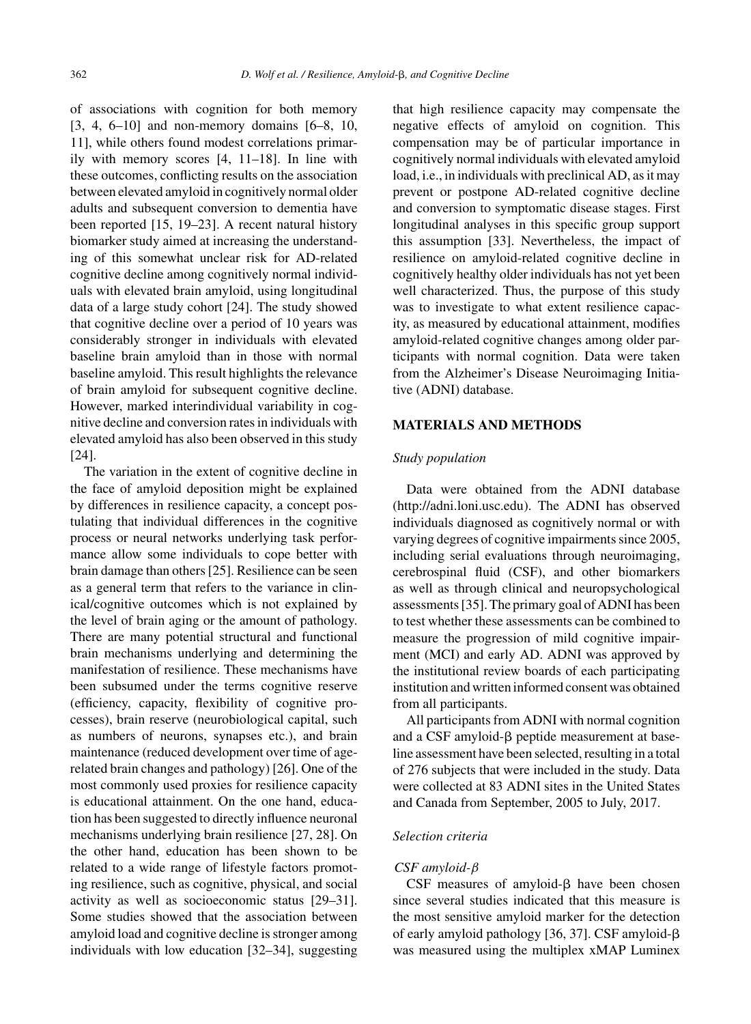of associations with cognition for both memory [3, 4, 6–10] and non-memory domains [6–8, 10, 11], while others found modest correlations primarily with memory scores [4, 11–18]. In line with these outcomes, conflicting results on the association between elevated amyloid in cognitively normal older adults and subsequent conversion to dementia have been reported [15, 19–23]. A recent natural history biomarker study aimed at increasing the understanding of this somewhat unclear risk for AD-related cognitive decline among cognitively normal individuals with elevated brain amyloid, using longitudinal data of a large study cohort [24]. The study showed that cognitive decline over a period of 10 years was considerably stronger in individuals with elevated baseline brain amyloid than in those with normal baseline amyloid. This result highlights the relevance of brain amyloid for subsequent cognitive decline. However, marked interindividual variability in cognitive decline and conversion rates in individuals with elevated amyloid has also been observed in this study [24].

The variation in the extent of cognitive decline in the face of amyloid deposition might be explained by differences in resilience capacity, a concept postulating that individual differences in the cognitive process or neural networks underlying task performance allow some individuals to cope better with brain damage than others [25]. Resilience can be seen as a general term that refers to the variance in clinical/cognitive outcomes which is not explained by the level of brain aging or the amount of pathology. There are many potential structural and functional brain mechanisms underlying and determining the manifestation of resilience. These mechanisms have been subsumed under the terms cognitive reserve (efficiency, capacity, flexibility of cognitive processes), brain reserve (neurobiological capital, such as numbers of neurons, synapses etc.), and brain maintenance (reduced development over time of agerelated brain changes and pathology) [26]. One of the most commonly used proxies for resilience capacity is educational attainment. On the one hand, education has been suggested to directly influence neuronal mechanisms underlying brain resilience [27, 28]. On the other hand, education has been shown to be related to a wide range of lifestyle factors promoting resilience, such as cognitive, physical, and social activity as well as socioeconomic status [29–31]. Some studies showed that the association between amyloid load and cognitive decline is stronger among individuals with low education [32–34], suggesting that high resilience capacity may compensate the negative effects of amyloid on cognition. This compensation may be of particular importance in cognitively normal individuals with elevated amyloid load, i.e., in individuals with preclinical AD, as it may prevent or postpone AD-related cognitive decline and conversion to symptomatic disease stages. First longitudinal analyses in this specific group support this assumption [33]. Nevertheless, the impact of resilience on amyloid-related cognitive decline in cognitively healthy older individuals has not yet been well characterized. Thus, the purpose of this study was to investigate to what extent resilience capacity, as measured by educational attainment, modifies amyloid-related cognitive changes among older participants with normal cognition. Data were taken from the Alzheimer's Disease Neuroimaging Initiative (ADNI) database.

#### **MATERIALS AND METHODS**

## *Study population*

Data were obtained from the ADNI database [\(http://adni.loni.usc.edu\)](http://adni.loni.usc.edu). The ADNI has observed individuals diagnosed as cognitively normal or with varying degrees of cognitive impairments since 2005, including serial evaluations through neuroimaging, cerebrospinal fluid (CSF), and other biomarkers as well as through clinical and neuropsychological assessments [35]. The primary goal of ADNI has been to test whether these assessments can be combined to measure the progression of mild cognitive impairment (MCI) and early AD. ADNI was approved by the institutional review boards of each participating institution and written informed consent was obtained from all participants.

All participants from ADNI with normal cognition and a CSF amyloid- $\beta$  peptide measurement at baseline assessment have been selected, resulting in a total of 276 subjects that were included in the study. Data were collected at 83 ADNI sites in the United States and Canada from September, 2005 to July, 2017.

## *Selection criteria*

## *CSF amyloid-*β

CSF measures of amyloid- $\beta$  have been chosen since several studies indicated that this measure is the most sensitive amyloid marker for the detection of early amyloid pathology [36, 37]. CSF amyloid- $\beta$ was measured using the multiplex xMAP Luminex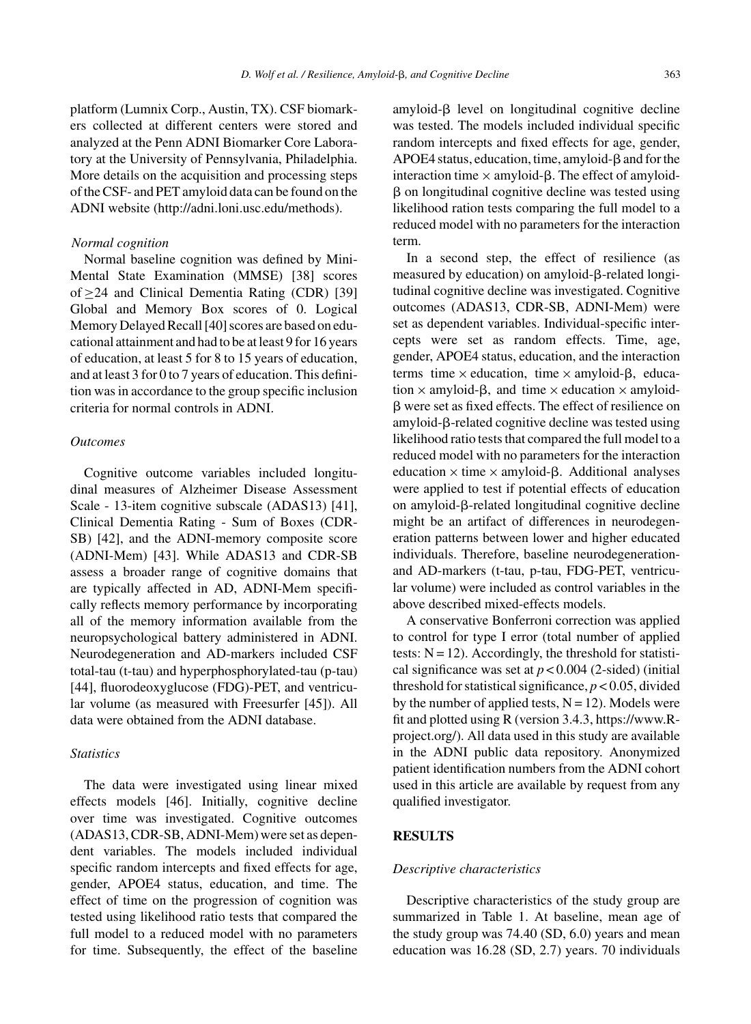platform (Lumnix Corp., Austin, TX). CSF biomarkers collected at different centers were stored and analyzed at the Penn ADNI Biomarker Core Laboratory at the University of Pennsylvania, Philadelphia. More details on the acquisition and processing steps of the CSF- and PET amyloid data can be found on the ADNI website ([http://adni.loni.usc.edu/methods\)](http://adni.loni.usc.edu/methods).

#### *Normal cognition*

Normal baseline cognition was defined by Mini-Mental State Examination (MMSE) [38] scores of ≥24 and Clinical Dementia Rating (CDR) [39] Global and Memory Box scores of 0. Logical Memory Delayed Recall [40] scores are based on educational attainment and had to be at least 9 for 16 years of education, at least 5 for 8 to 15 years of education, and at least 3 for 0 to 7 years of education. This definition was in accordance to the group specific inclusion criteria for normal controls in ADNI.

#### *Outcomes*

Cognitive outcome variables included longitudinal measures of Alzheimer Disease Assessment Scale - 13-item cognitive subscale (ADAS13) [41], Clinical Dementia Rating - Sum of Boxes (CDR-SB) [42], and the ADNI-memory composite score (ADNI-Mem) [43]. While ADAS13 and CDR-SB assess a broader range of cognitive domains that are typically affected in AD, ADNI-Mem specifically reflects memory performance by incorporating all of the memory information available from the neuropsychological battery administered in ADNI. Neurodegeneration and AD-markers included CSF total-tau (t-tau) and hyperphosphorylated-tau (p-tau) [44], fluorodeoxyglucose (FDG)-PET, and ventricular volume (as measured with Freesurfer [45]). All data were obtained from the ADNI database.

#### *Statistics*

The data were investigated using linear mixed effects models [46]. Initially, cognitive decline over time was investigated. Cognitive outcomes (ADAS13, CDR-SB, ADNI-Mem) were set as dependent variables. The models included individual specific random intercepts and fixed effects for age, gender, APOE4 status, education, and time. The effect of time on the progression of cognition was tested using likelihood ratio tests that compared the full model to a reduced model with no parameters for time. Subsequently, the effect of the baseline  $amyloid-\beta$  level on longitudinal cognitive decline was tested. The models included individual specific random intercepts and fixed effects for age, gender,  $APOE4$  status, education, time, amyloid- $\beta$  and for the interaction time  $\times$  amyloid- $\beta$ . The effect of amyloidβ on longitudinal cognitive decline was tested using likelihood ration tests comparing the full model to a reduced model with no parameters for the interaction term.

In a second step, the effect of resilience (as measured by education) on amyloid- $\beta$ -related longitudinal cognitive decline was investigated. Cognitive outcomes (ADAS13, CDR-SB, ADNI-Mem) were set as dependent variables. Individual-specific intercepts were set as random effects. Time, age, gender, APOE4 status, education, and the interaction terms time  $\times$  education, time  $\times$  amyloid- $\beta$ , education  $\times$  amyloid- $\beta$ , and time  $\times$  education  $\times$  amyloid-- were set as fixed effects. The effect of resilience on  $amyloid-\beta$ -related cognitive decline was tested using likelihood ratio tests that compared the full model to a reduced model with no parameters for the interaction education  $\times$  time  $\times$  amyloid- $\beta$ . Additional analyses were applied to test if potential effects of education on amyloid- $\beta$ -related longitudinal cognitive decline might be an artifact of differences in neurodegeneration patterns between lower and higher educated individuals. Therefore, baseline neurodegenerationand AD-markers (t-tau, p-tau, FDG-PET, ventricular volume) were included as control variables in the above described mixed-effects models.

A conservative Bonferroni correction was applied to control for type I error (total number of applied tests:  $N = 12$ ). Accordingly, the threshold for statistical significance was set at  $p < 0.004$  (2-sided) (initial threshold for statistical significance, *p* < 0.05, divided by the number of applied tests,  $N = 12$ ). Models were fit and plotted using R (version 3.4.3, [https://www.R](https://www.R-project.org/)project.org/). All data used in this study are available in the ADNI public data repository. Anonymized patient identification numbers from the ADNI cohort used in this article are available by request from any qualified investigator.

#### **RESULTS**

#### *Descriptive characteristics*

Descriptive characteristics of the study group are summarized in Table 1. At baseline, mean age of the study group was 74.40 (SD, 6.0) years and mean education was 16.28 (SD, 2.7) years. 70 individuals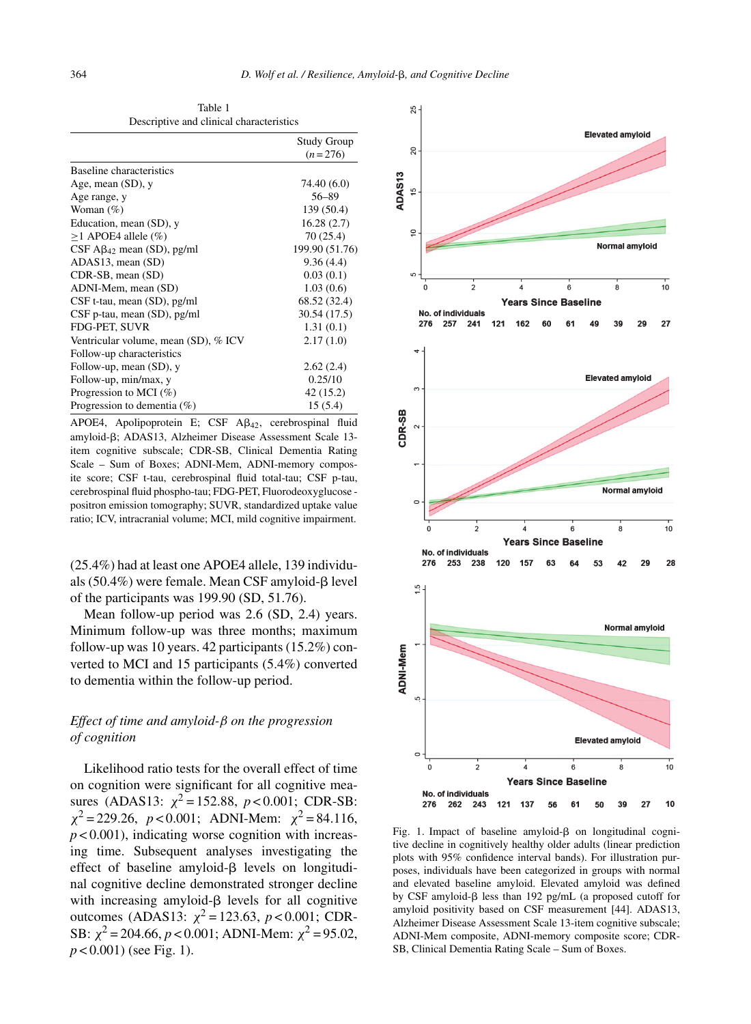Table 1 Descriptive and clinical characteristics

|                                      | <b>Study Group</b><br>$(n=276)$ |
|--------------------------------------|---------------------------------|
| Baseline characteristics             |                                 |
| Age, mean $(SD)$ , y                 | 74.40 (6.0)                     |
| Age range, y                         | 56-89                           |
| Woman $(\%)$                         | 139 (50.4)                      |
| Education, mean (SD), y              | 16.28(2.7)                      |
| $>1$ APOE4 allele (%)                | 70(25.4)                        |
| $CSF A\beta_{42}$ mean (SD), pg/ml   | 199.90 (51.76)                  |
| ADAS13, mean (SD)                    | 9.36(4.4)                       |
| $CDR-SB$ , mean $(SD)$               | 0.03(0.1)                       |
| ADNI-Mem, mean (SD)                  | 1.03(0.6)                       |
| $CSF$ t-tau, mean $(SD)$ , pg/ml     | 68.52 (32.4)                    |
| $CSF$ p-tau, mean $(SD)$ , pg/ml     | 30.54 (17.5)                    |
| FDG-PET, SUVR                        | 1.31(0.1)                       |
| Ventricular volume, mean (SD), % ICV | 2.17(1.0)                       |
| Follow-up characteristics            |                                 |
| Follow-up, mean (SD), y              | 2.62(2.4)                       |
| Follow-up, min/max, y                | 0.25/10                         |
| Progression to MCI $(\%)$            | 42 (15.2)                       |
| Progression to dementia $(\%)$       | 15 (5.4)                        |

 $APOE4$ , Apolipoprotein E; CSF  $A\beta_{42}$ , cerebrospinal fluid amyloid- $\beta$ ; ADAS13, Alzheimer Disease Assessment Scale 13item cognitive subscale; CDR-SB, Clinical Dementia Rating Scale – Sum of Boxes; ADNI-Mem, ADNI-memory composite score; CSF t-tau, cerebrospinal fluid total-tau; CSF p-tau, cerebrospinal fluid phospho-tau; FDG-PET, Fluorodeoxyglucose positron emission tomography; SUVR, standardized uptake value ratio; ICV, intracranial volume; MCI, mild cognitive impairment.

(25.4%) had at least one APOE4 allele, 139 individuals  $(50.4\%)$  were female. Mean CSF amyloid- $\beta$  level of the participants was 199.90 (SD, 51.76).

Mean follow-up period was 2.6 (SD, 2.4) years. Minimum follow-up was three months; maximum follow-up was 10 years. 42 participants (15.2%) converted to MCI and 15 participants (5.4%) converted to dementia within the follow-up period.

# *Effect of time and amyloid-*β *on the progression of cognition*

Likelihood ratio tests for the overall effect of time on cognition were significant for all cognitive measures (ADAS13:  $\chi^2 = 152.88$ ,  $p < 0.001$ ; CDR-SB:  $\chi^2$  = 229.26, *p* < 0.001; ADNI-Mem:  $\chi^2$  = 84.116,  $p < 0.001$ ), indicating worse cognition with increasing time. Subsequent analyses investigating the effect of baseline amyloid- $\beta$  levels on longitudinal cognitive decline demonstrated stronger decline with increasing amyloid- $\beta$  levels for all cognitive outcomes (ADAS13:  $\chi^2$  = 123.63, *p* < 0.001; CDR-SB:  $\chi^2$  = 204.66, *p* < 0.001; ADNI-Mem:  $\chi^2$  = 95.02, *p* < 0.001) (see Fig. 1).



Fig. 1. Impact of baseline amyloid- $\beta$  on longitudinal cognitive decline in cognitively healthy older adults (linear prediction plots with 95% confidence interval bands). For illustration purposes, individuals have been categorized in groups with normal and elevated baseline amyloid. Elevated amyloid was defined by CSF amyloid- $\beta$  less than 192 pg/mL (a proposed cutoff for amyloid positivity based on CSF measurement [44]. ADAS13, Alzheimer Disease Assessment Scale 13-item cognitive subscale; ADNI-Mem composite, ADNI-memory composite score; CDR-SB, Clinical Dementia Rating Scale – Sum of Boxes.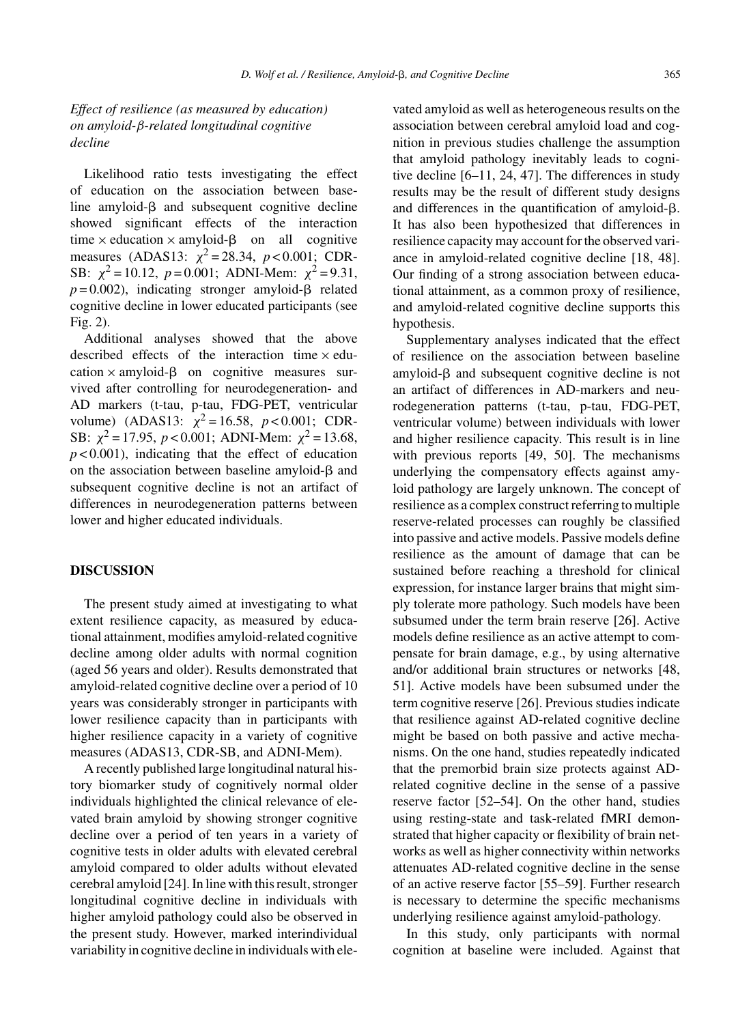*Effect of resilience (as measured by education) on amyloid-*β*-related longitudinal cognitive decline*

Likelihood ratio tests investigating the effect of education on the association between baseline amyloid- $\beta$  and subsequent cognitive decline showed significant effects of the interaction time  $\times$  education  $\times$  amyloid- $\beta$  on all cognitive measures (ADAS13:  $\chi^2$  = 28.34, *p* < 0.001; CDR-SB:  $\chi^2 = 10.12$ ,  $p = 0.001$ ; ADNI-Mem:  $\chi^2 = 9.31$ ,  $p = 0.002$ ), indicating stronger amyloid- $\beta$  related cognitive decline in lower educated participants (see Fig. 2).

Additional analyses showed that the above described effects of the interaction time  $\times$  edu- $\text{cation} \times \text{amyloid-}\beta$  on cognitive measures survived after controlling for neurodegeneration- and AD markers (t-tau, p-tau, FDG-PET, ventricular volume) (ADAS13:  $\chi^2 = 16.58$ ,  $p < 0.001$ ; CDR-SB:  $\chi^2$  = 17.95, *p* < 0.001; ADNI-Mem:  $\chi^2$  = 13.68,  $p < 0.001$ ), indicating that the effect of education on the association between baseline amyloid- $\beta$  and subsequent cognitive decline is not an artifact of differences in neurodegeneration patterns between lower and higher educated individuals.

## **DISCUSSION**

The present study aimed at investigating to what extent resilience capacity, as measured by educational attainment, modifies amyloid-related cognitive decline among older adults with normal cognition (aged 56 years and older). Results demonstrated that amyloid-related cognitive decline over a period of 10 years was considerably stronger in participants with lower resilience capacity than in participants with higher resilience capacity in a variety of cognitive measures (ADAS13, CDR-SB, and ADNI-Mem).

A recently published large longitudinal natural history biomarker study of cognitively normal older individuals highlighted the clinical relevance of elevated brain amyloid by showing stronger cognitive decline over a period of ten years in a variety of cognitive tests in older adults with elevated cerebral amyloid compared to older adults without elevated cerebral amyloid [24]. In line with this result, stronger longitudinal cognitive decline in individuals with higher amyloid pathology could also be observed in the present study. However, marked interindividual variability in cognitive decline in individuals with elevated amyloid as well as heterogeneous results on the association between cerebral amyloid load and cognition in previous studies challenge the assumption that amyloid pathology inevitably leads to cognitive decline [6–11, 24, 47]. The differences in study results may be the result of different study designs and differences in the quantification of amyloid- $\beta$ . It has also been hypothesized that differences in resilience capacity may account for the observed variance in amyloid-related cognitive decline [18, 48]. Our finding of a strong association between educational attainment, as a common proxy of resilience, and amyloid-related cognitive decline supports this hypothesis.

Supplementary analyses indicated that the effect of resilience on the association between baseline amyloid- $\beta$  and subsequent cognitive decline is not an artifact of differences in AD-markers and neurodegeneration patterns (t-tau, p-tau, FDG-PET, ventricular volume) between individuals with lower and higher resilience capacity. This result is in line with previous reports [49, 50]. The mechanisms underlying the compensatory effects against amyloid pathology are largely unknown. The concept of resilience as a complex construct referring to multiple reserve-related processes can roughly be classified into passive and active models. Passive models define resilience as the amount of damage that can be sustained before reaching a threshold for clinical expression, for instance larger brains that might simply tolerate more pathology. Such models have been subsumed under the term brain reserve [26]. Active models define resilience as an active attempt to compensate for brain damage, e.g., by using alternative and/or additional brain structures or networks [48, 51]. Active models have been subsumed under the term cognitive reserve [26]. Previous studies indicate that resilience against AD-related cognitive decline might be based on both passive and active mechanisms. On the one hand, studies repeatedly indicated that the premorbid brain size protects against ADrelated cognitive decline in the sense of a passive reserve factor [52–54]. On the other hand, studies using resting-state and task-related fMRI demonstrated that higher capacity or flexibility of brain networks as well as higher connectivity within networks attenuates AD-related cognitive decline in the sense of an active reserve factor [55–59]. Further research is necessary to determine the specific mechanisms underlying resilience against amyloid-pathology.

In this study, only participants with normal cognition at baseline were included. Against that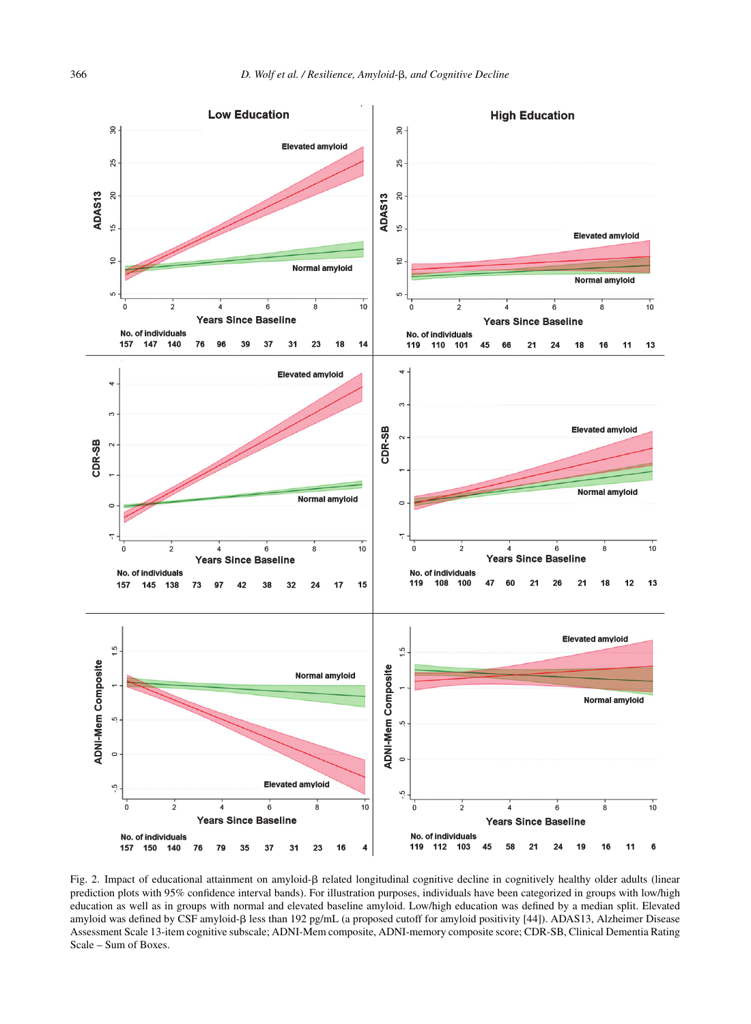

Fig. 2. Impact of educational attainment on amyloid- $\beta$  related longitudinal cognitive decline in cognitively healthy older adults (linear prediction plots with 95% confidence interval bands). For illustration purposes, individuals have been categorized in groups with low/high education as well as in groups with normal and elevated baseline amyloid. Low/high education was defined by a median split. Elevated amyloid was defined by CSF amyloid- $\beta$  less than 192 pg/mL (a proposed cutoff for amyloid positivity [44]). ADAS13, Alzheimer Disease Assessment Scale 13-item cognitive subscale; ADNI-Mem composite, ADNI-memory composite score; CDR-SB, Clinical Dementia Rating Scale – Sum of Boxes.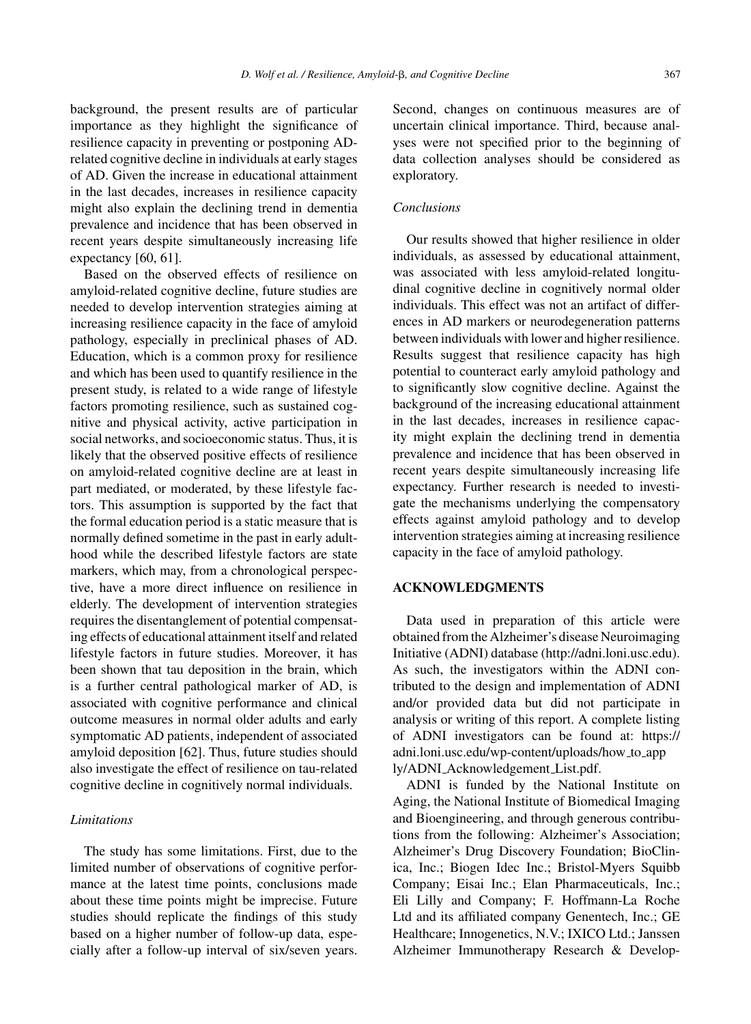background, the present results are of particular importance as they highlight the significance of resilience capacity in preventing or postponing ADrelated cognitive decline in individuals at early stages of AD. Given the increase in educational attainment in the last decades, increases in resilience capacity might also explain the declining trend in dementia prevalence and incidence that has been observed in recent years despite simultaneously increasing life expectancy [60, 61].

Based on the observed effects of resilience on amyloid-related cognitive decline, future studies are needed to develop intervention strategies aiming at increasing resilience capacity in the face of amyloid pathology, especially in preclinical phases of AD. Education, which is a common proxy for resilience and which has been used to quantify resilience in the present study, is related to a wide range of lifestyle factors promoting resilience, such as sustained cognitive and physical activity, active participation in social networks, and socioeconomic status. Thus, it is likely that the observed positive effects of resilience on amyloid-related cognitive decline are at least in part mediated, or moderated, by these lifestyle factors. This assumption is supported by the fact that the formal education period is a static measure that is normally defined sometime in the past in early adulthood while the described lifestyle factors are state markers, which may, from a chronological perspective, have a more direct influence on resilience in elderly. The development of intervention strategies requires the disentanglement of potential compensating effects of educational attainment itself and related lifestyle factors in future studies. Moreover, it has been shown that tau deposition in the brain, which is a further central pathological marker of AD, is associated with cognitive performance and clinical outcome measures in normal older adults and early symptomatic AD patients, independent of associated amyloid deposition [62]. Thus, future studies should also investigate the effect of resilience on tau-related cognitive decline in cognitively normal individuals.

# *Limitations*

The study has some limitations. First, due to the limited number of observations of cognitive performance at the latest time points, conclusions made about these time points might be imprecise. Future studies should replicate the findings of this study based on a higher number of follow-up data, especially after a follow-up interval of six/seven years.

Second, changes on continuous measures are of uncertain clinical importance. Third, because analyses were not specified prior to the beginning of data collection analyses should be considered as exploratory.

# *Conclusions*

Our results showed that higher resilience in older individuals, as assessed by educational attainment, was associated with less amyloid-related longitudinal cognitive decline in cognitively normal older individuals. This effect was not an artifact of differences in AD markers or neurodegeneration patterns between individuals with lower and higher resilience. Results suggest that resilience capacity has high potential to counteract early amyloid pathology and to significantly slow cognitive decline. Against the background of the increasing educational attainment in the last decades, increases in resilience capacity might explain the declining trend in dementia prevalence and incidence that has been observed in recent years despite simultaneously increasing life expectancy. Further research is needed to investigate the mechanisms underlying the compensatory effects against amyloid pathology and to develop intervention strategies aiming at increasing resilience capacity in the face of amyloid pathology.

## **ACKNOWLEDGMENTS**

Data used in preparation of this article were obtained from the Alzheimer's disease Neuroimaging Initiative (ADNI) database (<http://adni.loni.usc.edu>). As such, the investigators within the ADNI contributed to the design and implementation of ADNI and/or provided data but did not participate in analysis or writing of this report. A complete listing of ADNI investigators can be found at: https:// adni.loni.usc.edu/wp-content/uploads/how to app ly/ADNI Acknowledgement List.pdf.

ADNI is funded by the National Institute on Aging, the National Institute of Biomedical Imaging and Bioengineering, and through generous contributions from the following: Alzheimer's Association; Alzheimer's Drug Discovery Foundation; BioClinica, Inc.; Biogen Idec Inc.; Bristol-Myers Squibb Company; Eisai Inc.; Elan Pharmaceuticals, Inc.; Eli Lilly and Company; F. Hoffmann-La Roche Ltd and its affiliated company Genentech, Inc.; GE Healthcare; Innogenetics, N.V.; IXICO Ltd.; Janssen Alzheimer Immunotherapy Research & Develop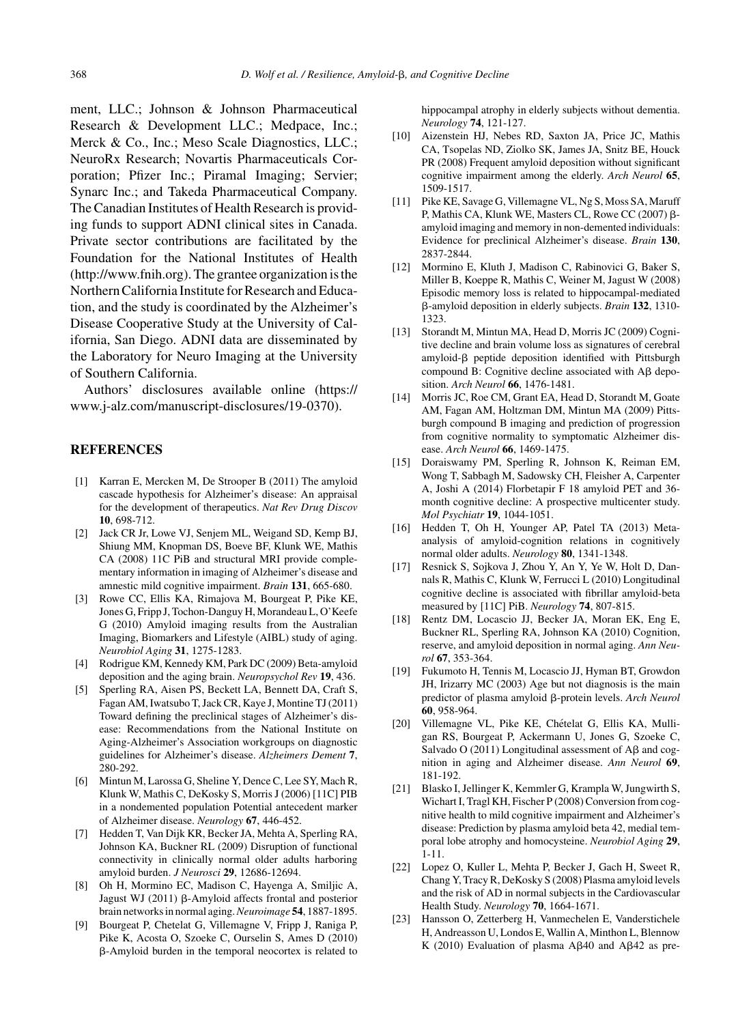ment, LLC.; Johnson & Johnson Pharmaceutical Research & Development LLC.; Medpace, Inc.; Merck & Co., Inc.; Meso Scale Diagnostics, LLC.; NeuroRx Research; Novartis Pharmaceuticals Corporation; Pfizer Inc.; Piramal Imaging; Servier; Synarc Inc.; and Takeda Pharmaceutical Company. The Canadian Institutes of Health Research is providing funds to support ADNI clinical sites in Canada. Private sector contributions are facilitated by the Foundation for the National Institutes of Health [\(http://www.fnih.org](http://www.fnih.org)). The grantee organization is the Northern California Institute for Research and Education, and the study is coordinated by the Alzheimer's Disease Cooperative Study at the University of California, San Diego. ADNI data are disseminated by the Laboratory for Neuro Imaging at the University of Southern California.

Authors' disclosures available online ([https://](https://www.j-alz.com/manuscript-disclosures/19-0370) [www.j-alz.com/manuscript-disclosures/19-0370](https://www.j-alz.com/manuscript-disclosures/19-0370)).

#### **REFERENCES**

- [1] Karran E, Mercken M, De Strooper B (2011) The amyloid cascade hypothesis for Alzheimer's disease: An appraisal for the development of therapeutics. *Nat Rev Drug Discov* **10**, 698-712.
- [2] Jack CR Jr, Lowe VJ, Senjem ML, Weigand SD, Kemp BJ, Shiung MM, Knopman DS, Boeve BF, Klunk WE, Mathis CA (2008) 11C PiB and structural MRI provide complementary information in imaging of Alzheimer's disease and amnestic mild cognitive impairment. *Brain* **131**, 665-680.
- [3] Rowe CC, Ellis KA, Rimajova M, Bourgeat P, Pike KE, Jones G, Fripp J, Tochon-Danguy H, Morandeau L, O'Keefe G (2010) Amyloid imaging results from the Australian Imaging, Biomarkers and Lifestyle (AIBL) study of aging. *Neurobiol Aging* **31**, 1275-1283.
- [4] Rodrigue KM, Kennedy KM, Park DC (2009) Beta-amyloid deposition and the aging brain. *Neuropsychol Rev* **19**, 436.
- [5] Sperling RA, Aisen PS, Beckett LA, Bennett DA, Craft S, Fagan AM, Iwatsubo T, Jack CR, Kaye J, Montine TJ (2011) Toward defining the preclinical stages of Alzheimer's disease: Recommendations from the National Institute on Aging-Alzheimer's Association workgroups on diagnostic guidelines for Alzheimer's disease. *Alzheimers Dement* **7**, 280-292.
- [6] Mintun M, Larossa G, Sheline Y, Dence C, Lee SY, Mach R, Klunk W, Mathis C, DeKosky S, Morris J (2006) [11C] PIB in a nondemented population Potential antecedent marker of Alzheimer disease. *Neurology* **67**, 446-452.
- [7] Hedden T, Van Dijk KR, Becker JA, Mehta A, Sperling RA, Johnson KA, Buckner RL (2009) Disruption of functional connectivity in clinically normal older adults harboring amyloid burden. *J Neurosci* **29**, 12686-12694.
- [8] Oh H, Mormino EC, Madison C, Hayenga A, Smiljic A, Jagust WJ (2011)  $\beta$ -Amyloid affects frontal and posterior brain networks in normal aging.*Neuroimage* **54**, 1887-1895.
- [9] Bourgeat P, Chetelat G, Villemagne V, Fripp J, Raniga P, Pike K, Acosta O, Szoeke C, Ourselin S, Ames D (2010) --Amyloid burden in the temporal neocortex is related to

hippocampal atrophy in elderly subjects without dementia. *Neurology* **74**, 121-127.

- [10] Aizenstein HJ, Nebes RD, Saxton JA, Price JC, Mathis CA, Tsopelas ND, Ziolko SK, James JA, Snitz BE, Houck PR (2008) Frequent amyloid deposition without significant cognitive impairment among the elderly. *Arch Neurol* **65**, 1509-1517.
- [11] Pike KE, Savage G, Villemagne VL, Ng S, Moss SA, Maruff P, Mathis CA, Klunk WE, Masters CL, Rowe CC  $(2007)$   $\beta$ amyloid imaging and memory in non-demented individuals: Evidence for preclinical Alzheimer's disease. *Brain* **130**, 2837-2844.
- [12] Mormino E, Kluth J, Madison C, Rabinovici G, Baker S, Miller B, Koeppe R, Mathis C, Weiner M, Jagust W (2008) Episodic memory loss is related to hippocampal-mediated --amyloid deposition in elderly subjects. *Brain* **132**, 1310- 1323.
- [13] Storandt M, Mintun MA, Head D, Morris JC (2009) Cognitive decline and brain volume loss as signatures of cerebral amyloid- $\beta$  peptide deposition identified with Pittsburgh compound B: Cognitive decline associated with  $A\beta$  deposition. *Arch Neurol* **66**, 1476-1481.
- [14] Morris JC, Roe CM, Grant EA, Head D, Storandt M, Goate AM, Fagan AM, Holtzman DM, Mintun MA (2009) Pittsburgh compound B imaging and prediction of progression from cognitive normality to symptomatic Alzheimer disease. *Arch Neurol* **66**, 1469-1475.
- [15] Doraiswamy PM, Sperling R, Johnson K, Reiman EM, Wong T, Sabbagh M, Sadowsky CH, Fleisher A, Carpenter A, Joshi A (2014) Florbetapir F 18 amyloid PET and 36 month cognitive decline: A prospective multicenter study. *Mol Psychiatr* **19**, 1044-1051.
- [16] Hedden T, Oh H, Younger AP, Patel TA (2013) Metaanalysis of amyloid-cognition relations in cognitively normal older adults. *Neurology* **80**, 1341-1348.
- [17] Resnick S, Sojkova J, Zhou Y, An Y, Ye W, Holt D, Dannals R, Mathis C, Klunk W, Ferrucci L (2010) Longitudinal cognitive decline is associated with fibrillar amyloid-beta measured by [11C] PiB. *Neurology* **74**, 807-815.
- [18] Rentz DM, Locascio JJ, Becker JA, Moran EK, Eng E, Buckner RL, Sperling RA, Johnson KA (2010) Cognition, reserve, and amyloid deposition in normal aging. *Ann Neurol* **67**, 353-364.
- [19] Fukumoto H, Tennis M, Locascio JJ, Hyman BT, Growdon JH, Irizarry MC (2003) Age but not diagnosis is the main predictor of plasma amyloid  $\beta$ -protein levels. *Arch Neurol* **60**, 958-964.
- [20] Villemagne VL, Pike KE, Chételat G, Ellis KA, Mulligan RS, Bourgeat P, Ackermann U, Jones G, Szoeke C, Salvado O (2011) Longitudinal assessment of  $A\beta$  and cognition in aging and Alzheimer disease. *Ann Neurol* **69**, 181-192.
- [21] Blasko I, Jellinger K, Kemmler G, Krampla W, Jungwirth S, Wichart I, Tragl KH, Fischer P (2008) Conversion from cognitive health to mild cognitive impairment and Alzheimer's disease: Prediction by plasma amyloid beta 42, medial temporal lobe atrophy and homocysteine. *Neurobiol Aging* **29**, 1-11.
- [22] Lopez O, Kuller L, Mehta P, Becker J, Gach H, Sweet R, Chang Y, Tracy R, DeKosky S (2008) Plasma amyloid levels and the risk of AD in normal subjects in the Cardiovascular Health Study. *Neurology* **70**, 1664-1671.
- [23] Hansson O, Zetterberg H, Vanmechelen E, Vanderstichele H, Andreasson U, Londos E, Wallin A, Minthon L, Blennow K (2010) Evaluation of plasma A $\beta$ 40 and A $\beta$ 42 as pre-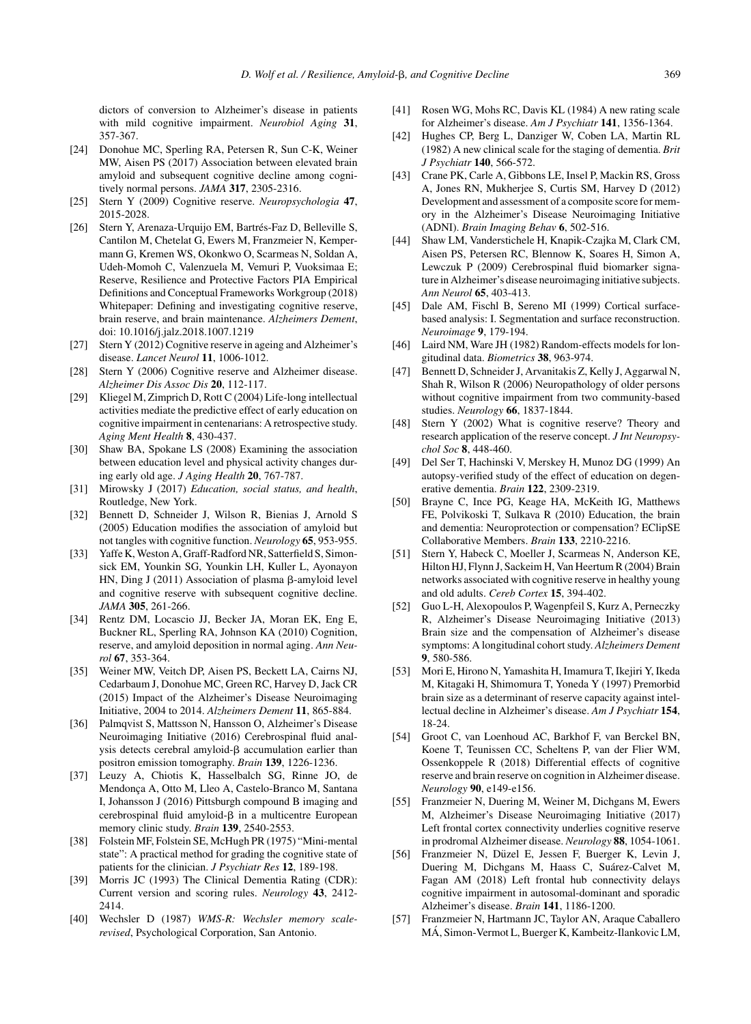dictors of conversion to Alzheimer's disease in patients with mild cognitive impairment. *Neurobiol Aging* **31**, 357-367.

- [24] Donohue MC, Sperling RA, Petersen R, Sun C-K, Weiner MW, Aisen PS (2017) Association between elevated brain amyloid and subsequent cognitive decline among cognitively normal persons. *JAMA* **317**, 2305-2316.
- [25] Stern Y (2009) Cognitive reserve. *Neuropsychologia* **47**, 2015-2028.
- [26] Stern Y, Arenaza-Urquijo EM, Bartrés-Faz D, Belleville S, Cantilon M, Chetelat G, Ewers M, Franzmeier N, Kempermann G, Kremen WS, Okonkwo O, Scarmeas N, Soldan A, Udeh-Momoh C, Valenzuela M, Vemuri P, Vuoksimaa E; Reserve, Resilience and Protective Factors PIA Empirical Definitions and Conceptual Frameworks Workgroup (2018) Whitepaper: Defining and investigating cognitive reserve, brain reserve, and brain maintenance. *Alzheimers Dement*, doi: 10.1016/j.jalz.2018.1007.1219
- [27] Stern Y (2012) Cognitive reserve in ageing and Alzheimer's disease. *Lancet Neurol* **11**, 1006-1012.
- [28] Stern Y (2006) Cognitive reserve and Alzheimer disease. *Alzheimer Dis Assoc Dis* **20**, 112-117.
- [29] Kliegel M, Zimprich D, Rott C (2004) Life-long intellectual activities mediate the predictive effect of early education on cognitive impairment in centenarians: A retrospective study. *Aging Ment Health* **8**, 430-437.
- [30] Shaw BA, Spokane LS (2008) Examining the association between education level and physical activity changes during early old age. *J Aging Health* **20**, 767-787.
- [31] Mirowsky J (2017) *Education, social status, and health*, Routledge, New York.
- [32] Bennett D, Schneider J, Wilson R, Bienias J, Arnold S (2005) Education modifies the association of amyloid but not tangles with cognitive function. *Neurology* **65**, 953-955.
- [33] Yaffe K, Weston A, Graff-Radford NR, Satterfield S, Simonsick EM, Younkin SG, Younkin LH, Kuller L, Ayonayon HN, Ding J  $(2011)$  Association of plasma  $\beta$ -amyloid level and cognitive reserve with subsequent cognitive decline. *JAMA* **305**, 261-266.
- [34] Rentz DM, Locascio JJ, Becker JA, Moran EK, Eng E, Buckner RL, Sperling RA, Johnson KA (2010) Cognition, reserve, and amyloid deposition in normal aging. *Ann Neurol* **67**, 353-364.
- [35] Weiner MW, Veitch DP, Aisen PS, Beckett LA, Cairns NJ, Cedarbaum J, Donohue MC, Green RC, Harvey D, Jack CR (2015) Impact of the Alzheimer's Disease Neuroimaging Initiative, 2004 to 2014. *Alzheimers Dement* **11**, 865-884.
- [36] Palmqvist S, Mattsson N, Hansson O, Alzheimer's Disease Neuroimaging Initiative (2016) Cerebrospinal fluid analysis detects cerebral amyloid- $\beta$  accumulation earlier than positron emission tomography. *Brain* **139**, 1226-1236.
- [37] Leuzy A, Chiotis K, Hasselbalch SG, Rinne JO, de Mendonça A, Otto M, Lleo A, Castelo-Branco M, Santana I, Johansson J (2016) Pittsburgh compound B imaging and  $c$ erebrospinal fluid amyloid- $\beta$  in a multicentre European memory clinic study. *Brain* **139**, 2540-2553.
- [38] Folstein MF, Folstein SE, McHugh PR (1975) "Mini-mental state": A practical method for grading the cognitive state of patients for the clinician. *J Psychiatr Res* **12**, 189-198.
- [39] Morris JC (1993) The Clinical Dementia Rating (CDR): Current version and scoring rules. *Neurology* **43**, 2412- 2414.
- [40] Wechsler D (1987) *WMS-R: Wechsler memory scalerevised*, Psychological Corporation, San Antonio.
- [41] Rosen WG, Mohs RC, Davis KL (1984) A new rating scale for Alzheimer's disease. *Am J Psychiatr* **141**, 1356-1364.
- [42] Hughes CP, Berg L, Danziger W, Coben LA, Martin RL (1982) A new clinical scale for the staging of dementia. *Brit J Psychiatr* **140**, 566-572.
- [43] Crane PK, Carle A, Gibbons LE, Insel P, Mackin RS, Gross A, Jones RN, Mukherjee S, Curtis SM, Harvey D (2012) Development and assessment of a composite score for memory in the Alzheimer's Disease Neuroimaging Initiative (ADNI). *Brain Imaging Behav* **6**, 502-516.
- [44] Shaw LM, Vanderstichele H, Knapik-Czajka M, Clark CM, Aisen PS, Petersen RC, Blennow K, Soares H, Simon A, Lewczuk P (2009) Cerebrospinal fluid biomarker signature in Alzheimer's disease neuroimaging initiative subjects. *Ann Neurol* **65**, 403-413.
- [45] Dale AM, Fischl B, Sereno MI (1999) Cortical surfacebased analysis: I. Segmentation and surface reconstruction. *Neuroimage* **9**, 179-194.
- [46] Laird NM, Ware JH (1982) Random-effects models for longitudinal data. *Biometrics* **38**, 963-974.
- [47] Bennett D, Schneider J, Arvanitakis Z, Kelly J, Aggarwal N, Shah R, Wilson R (2006) Neuropathology of older persons without cognitive impairment from two community-based studies. *Neurology* **66**, 1837-1844.
- [48] Stern Y (2002) What is cognitive reserve? Theory and research application of the reserve concept. *J Int Neuropsychol Soc* **8**, 448-460.
- [49] Del Ser T, Hachinski V, Merskey H, Munoz DG (1999) An autopsy-verified study of the effect of education on degenerative dementia. *Brain* **122**, 2309-2319.
- [50] Brayne C, Ince PG, Keage HA, McKeith IG, Matthews FE, Polvikoski T, Sulkava R (2010) Education, the brain and dementia: Neuroprotection or compensation? EClipSE Collaborative Members. *Brain* **133**, 2210-2216.
- [51] Stern Y, Habeck C, Moeller J, Scarmeas N, Anderson KE, Hilton HJ, Flynn J, Sackeim H, Van Heertum R (2004) Brain networks associated with cognitive reserve in healthy young and old adults. *Cereb Cortex* **15**, 394-402.
- [52] Guo L-H, Alexopoulos P, Wagenpfeil S, Kurz A, Perneczky R, Alzheimer's Disease Neuroimaging Initiative (2013) Brain size and the compensation of Alzheimer's disease symptoms: A longitudinal cohort study. *Alzheimers Dement* **9**, 580-586.
- [53] Mori E, Hirono N, Yamashita H, Imamura T, Ikejiri Y, Ikeda M, Kitagaki H, Shimomura T, Yoneda Y (1997) Premorbid brain size as a determinant of reserve capacity against intellectual decline in Alzheimer's disease. *Am J Psychiatr* **154**, 18-24.
- [54] Groot C, van Loenhoud AC, Barkhof F, van Berckel BN, Koene T, Teunissen CC, Scheltens P, van der Flier WM, Ossenkoppele R (2018) Differential effects of cognitive reserve and brain reserve on cognition in Alzheimer disease. *Neurology* **90**, e149-e156.
- [55] Franzmeier N, Duering M, Weiner M, Dichgans M, Ewers M, Alzheimer's Disease Neuroimaging Initiative (2017) Left frontal cortex connectivity underlies cognitive reserve in prodromal Alzheimer disease. *Neurology* **88**, 1054-1061.
- [56] Franzmeier N, Düzel E, Jessen F, Buerger K, Levin J, Duering M, Dichgans M, Haass C, Suárez-Calvet M, Fagan AM (2018) Left frontal hub connectivity delays cognitive impairment in autosomal-dominant and sporadic Alzheimer's disease. *Brain* **141**, 1186-1200.
- [57] Franzmeier N, Hartmann JC, Taylor AN, Araque Caballero MA, Simon-Vermot L, Buerger K, Kambeitz-Ilankovic LM, ´